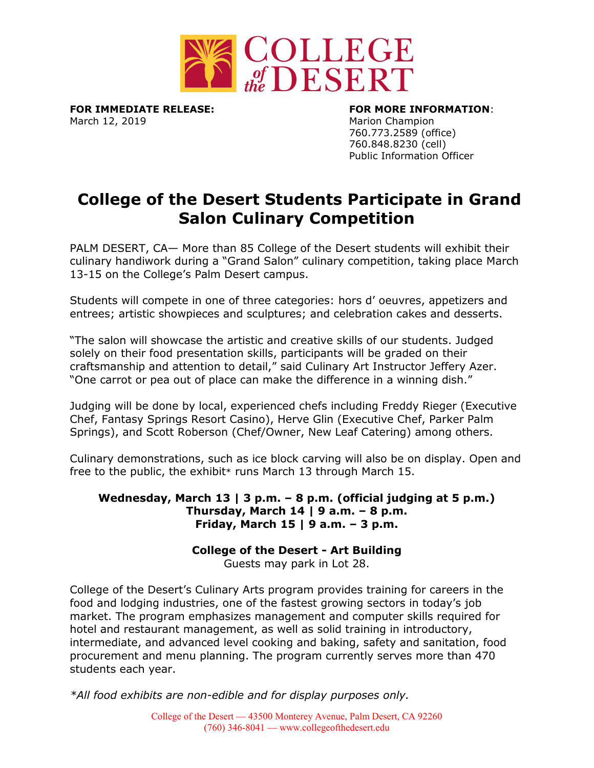

**FOR IMMEDIATE RELEASE: FOR MORE INFORMATION**: March 12, 2019 **March 12, 2019** Marion Champion

760.773.2589 (office) 760.848.8230 (cell) Public Information Officer

## **College of the Desert Students Participate in Grand Salon Culinary Competition**

PALM DESERT, CA— More than 85 College of the Desert students will exhibit their culinary handiwork during a "Grand Salon" culinary competition, taking place March 13-15 on the College's Palm Desert campus.

Students will compete in one of three categories: hors d' oeuvres, appetizers and entrees; artistic showpieces and sculptures; and celebration cakes and desserts.

"The salon will showcase the artistic and creative skills of our students. Judged solely on their food presentation skills, participants will be graded on their craftsmanship and attention to detail," said Culinary Art Instructor Jeffery Azer. "One carrot or pea out of place can make the difference in a winning dish."

Judging will be done by local, experienced chefs including Freddy Rieger (Executive Chef, Fantasy Springs Resort Casino), Herve Glin (Executive Chef, Parker Palm Springs), and Scott Roberson (Chef/Owner, New Leaf Catering) among others.

Culinary demonstrations, such as ice block carving will also be on display. Open and free to the public, the exhibit\* runs March 13 through March 15.

## **Wednesday, March 13 | 3 p.m. – 8 p.m. (official judging at 5 p.m.) Thursday, March 14 | 9 a.m. – 8 p.m. Friday, March 15 | 9 a.m. – 3 p.m.**

## **College of the Desert - Art Building**

Guests may park in Lot 28.

College of the Desert's Culinary Arts program provides training for careers in the food and lodging industries, one of the fastest growing sectors in today's job market. The program emphasizes management and computer skills required for hotel and restaurant management, as well as solid training in introductory, intermediate, and advanced level cooking and baking, safety and sanitation, food procurement and menu planning. The program currently serves more than 470 students each year.

*\*All food exhibits are non-edible and for display purposes only.*